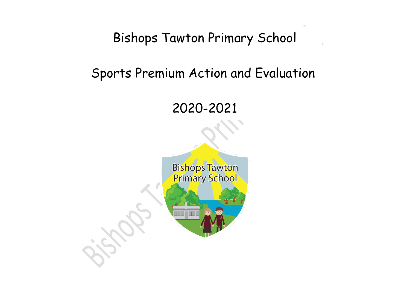Bishops Tawton Primary School

## Sports Premium Action and Evaluation

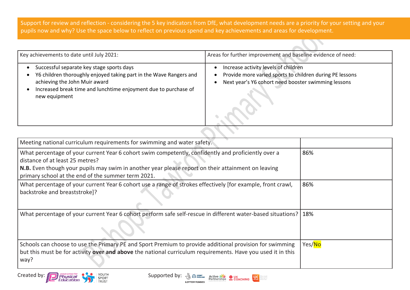Support for review and reflection - considering the 5 key indicators from DfE, what development needs are a priority for your setting and your pupils now and why? Use the space below to reflect on previous spend and key achievements and areas for development.

| Key achievements to date until July 2021:                                                                                                                                                                                            | Areas for further improvement and baseline evidence of need:                                                                                            |
|--------------------------------------------------------------------------------------------------------------------------------------------------------------------------------------------------------------------------------------|---------------------------------------------------------------------------------------------------------------------------------------------------------|
| Successful separate key stage sports days<br>Y6 children thoroughly enjoyed taking part in the Wave Rangers and<br>achieving the John Muir award<br>Increased break time and lunchtime enjoyment due to purchase of<br>new equipment | Increase activity levels of children<br>Provide more varied sports to children during PE lessons<br>Next year's Y6 cohort need booster swimming lessons |
|                                                                                                                                                                                                                                      |                                                                                                                                                         |

| Meeting national curriculum requirements for swimming and water safety.                                                                                                                                                        |        |
|--------------------------------------------------------------------------------------------------------------------------------------------------------------------------------------------------------------------------------|--------|
| What percentage of your current Year 6 cohort swim competently, confidently and proficiently over a<br>distance of at least 25 metres?                                                                                         | 86%    |
| N.B. Even though your pupils may swim in another year please report on their attainment on leaving<br>primary school at the end of the summer term 2021.                                                                       |        |
| What percentage of your current Year 6 cohort use a range of strokes effectively [for example, front crawl,<br>backstroke and breaststroke]?                                                                                   | 86%    |
| What percentage of your current Year 6 cohort perform safe self-rescue in different water-based situations?   18%                                                                                                              |        |
| Schools can choose to use the Primary PE and Sport Premium to provide additional provision for swimming<br>but this must be for activity over and above the national curriculum requirements. Have you used it in this<br>way? | Yes/No |

Created by: **Contract of the Contract of Supported by:**  $\frac{1}{2}$  Contract Supported by:  $\frac{1}{2}$  Contract Active and Burks Contract Education **Contract of Supported by:**  $\frac{1}{2}$  Contract Education **Contract On Burks Co** 





forepeople<br>foreactive<br>forevitien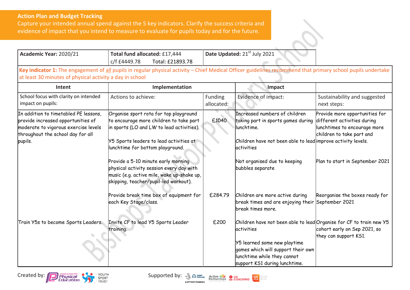## **Action Plan and Budget Tracking**

Capture your intended annual spend against the 5 key indicators. Clarify the success criteria and evidence of impact that you intend to measure to evaluate for pupils today and for the future.

| Academic Year: 2020/21                                                                                                                                              | Total fund allocated: £17,444<br>c/f £4449.78<br>Total: £21893.78                                                                                                                                             | Date Updated: 21 <sup>st</sup> July 2021 |                                                                                                                                                                 |                                                                                                                            |
|---------------------------------------------------------------------------------------------------------------------------------------------------------------------|---------------------------------------------------------------------------------------------------------------------------------------------------------------------------------------------------------------|------------------------------------------|-----------------------------------------------------------------------------------------------------------------------------------------------------------------|----------------------------------------------------------------------------------------------------------------------------|
| at least 30 minutes of physical activity a day in school                                                                                                            | Key indicator 1: The engagement of all pupils in regular physical activity - Chief Medical Officer guidelines recommend that primary school pupils undertake                                                  |                                          |                                                                                                                                                                 |                                                                                                                            |
| Intent                                                                                                                                                              | Implementation                                                                                                                                                                                                |                                          | Impact                                                                                                                                                          |                                                                                                                            |
| School focus with clarity on intended<br>impact on pupils:                                                                                                          | Actions to achieve:                                                                                                                                                                                           | <b>Funding</b><br>allocated:             | Evidence of impact:                                                                                                                                             | Sustainability and suggested<br>next steps:                                                                                |
| In addition to timetabled PE lessons,<br>provide increased opportunities of<br>moderate to vigorous exercise levels<br>throughout the school day for all<br>pupils. | Organise sport rota for top playground<br>to encourage more children to take part<br>in sports (LO and LW to lead activities).<br>Y5 Sports leaders to lead activities at<br>lunchtime for bottom playground. | £1040                                    | Increased numbers of children<br>taking part in sports games during<br>lunchtime.<br>Children have not been able to lead improve activity levels.<br>activities | Provide more opportunities for<br>different activities during<br>lunchtimes to encourage more<br>children to take part and |
|                                                                                                                                                                     | Provide a 5-10 minute early morning<br>physical activity session every day with<br>music (e.g. active mile, wake up-shake up,<br>skipping, teacher/pupil-led workout).                                        |                                          | Not organised due to keeping<br>bubbles separate                                                                                                                | Plan to start in September 2021                                                                                            |
|                                                                                                                                                                     | Provide break time box of equipment for<br>each Key Stage/class.                                                                                                                                              | £284.79                                  | Children are more active during<br>break times and are enjoying their September 2021<br>break times more.                                                       | Reorganise the boxes ready for                                                                                             |
| Train Y5s to become Sports Leaders.                                                                                                                                 | Invite CF to lead Y5 Sports Leader<br>training.                                                                                                                                                               | £200                                     | Children have not been able to lead Organise for CF to train new Y5<br>activities                                                                               | cohort early on Sep 2021, so<br>they can support KS1.                                                                      |
|                                                                                                                                                                     |                                                                                                                                                                                                               |                                          | Y5 learned some new playtime<br>games which will support their own<br>lunchtime while they cannot<br>support KS1 during lunchtime.                              |                                                                                                                            |

Created by: **Contract of the Supported by:**  $\frac{1}{2}$  Contract Supported by:  $\frac{1}{2}$  Contract Business Contract Business Contract Business Contract Business Contract Business Contract Business Contract Business Contract



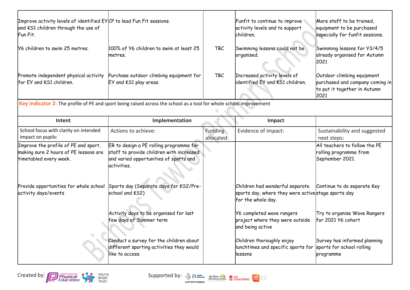| Improve activity levels of identified EY CP to lead Fun Fit sessions.<br>and KS1 children through the use of<br>Fun Fit. |                                                                                                                                              |                       | Funfit to continue to improve<br>activity levels and to support<br>children.                                                             | More staff to be trained,<br>equipment to be purchased<br>especially for funfit sessions.             |  |  |
|--------------------------------------------------------------------------------------------------------------------------|----------------------------------------------------------------------------------------------------------------------------------------------|-----------------------|------------------------------------------------------------------------------------------------------------------------------------------|-------------------------------------------------------------------------------------------------------|--|--|
| N6 children to swim 25 metres.                                                                                           | 100% of Y6 children to swim at least 25<br>lmetres.                                                                                          | <b>TBC</b>            | Swimming lessons could not be<br>organised.                                                                                              | Swimming lessons for Y3/4/5<br>already organised for Autumn<br>2021                                   |  |  |
| Promote independent physical activity<br>for EY and KS1 children.                                                        | Purchase outdoor climbing equipment for<br>EY and KS1 play areas.                                                                            | <b>TBC</b>            | Increased activity levels of<br>identified EY and KS1 children.                                                                          | Outdoor climbing equipment<br>purchased and company coming in<br>to put it together in Autumn<br>2021 |  |  |
|                                                                                                                          | Key indicator 2: The profile of PE and sport being raised across the school as a tool for whole school improvement                           |                       |                                                                                                                                          |                                                                                                       |  |  |
| Intent                                                                                                                   | Implementation                                                                                                                               |                       | Impact                                                                                                                                   |                                                                                                       |  |  |
| School focus with clarity on intended<br>impact on pupils:                                                               | Actions to achieve:                                                                                                                          | Funding<br>allocated: | Evidence of impact:                                                                                                                      | Sustainability and suggested<br>next steps:                                                           |  |  |
| Improve the profile of PE and sport,<br>making sure 2 hours of PE lessons are<br>timetabled every week.                  | ER to design a PE rolling programme for<br>staff to provide children with increased<br>and varied opportunities of sports and<br>activities. |                       |                                                                                                                                          | All teachers to follow the PE<br>rolling programme from<br>September 2021.                            |  |  |
| Provide opportunities for whole school<br>activity days/events                                                           | Sports day (Separate days for KS2/Pre-<br>school and KS2)                                                                                    |                       | Children had wonderful separate  Continue to do separate Key<br>sports day, where they were activestage sports day<br>for the whole day. |                                                                                                       |  |  |
|                                                                                                                          | Activity days to be organised for last<br>few days of Summer term                                                                            |                       | Y6 completed wave rangers<br>project where they were outside<br>and being active                                                         | Try to organise Wave Rangers<br>for 2021 Y6 cohort                                                    |  |  |
|                                                                                                                          | Conduct a survey for the children about<br>different sporting activities they would<br>like to access.                                       |                       | Children thoroughly enjoy<br>lunchtimes and specific sports for<br>lessons                                                               | Survey has informed planning<br>sports for school rolling<br>programme                                |  |  |

srepeople<br>sreactive<br>sreaften

Created by: **Contract of Contract Contract Contract Contract Contract Contract Contract Contract Contract Contract Contract Contract Contract Contract Contract Contract Contract Contract Contract Contract Contract Contract**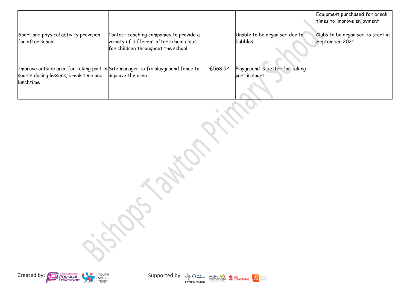|                                                           |                                                                                                                           |         |                                          | Equipment purchased for break<br>times to improve enjoyment |
|-----------------------------------------------------------|---------------------------------------------------------------------------------------------------------------------------|---------|------------------------------------------|-------------------------------------------------------------|
| Sport and physical activity provision<br>for after school | Contact coaching companies to provide a<br>variety of different after school clubs<br>for children throughout the school. |         | Unable to be organised due to<br>bubbles | Clubs to be organised to start in<br>September 2021         |
|                                                           | Improve outside area for taking part in Site manager to fix playground fence to                                           | £568.52 | Playground is better for taking          |                                                             |
| sports during lessons, break time and<br>lunchtime        | improve the area                                                                                                          |         | part in sport                            |                                                             |

Created by: **Contract by:** Supported by:  $\frac{1}{2}$   $\frac{1}{2}$  active  $\frac{1}{2}$  active  $\frac{1}{2}$  active  $\frac{1}{2}$  active  $\frac{1}{2}$  active  $\frac{1}{2}$  active  $\frac{1}{2}$  active  $\frac{1}{2}$  active  $\frac{1}{2}$  active  $\frac{1}{2}$  active

LOTTERY FUNDED

dore people<br>dore active<br>dore of ten

Rozen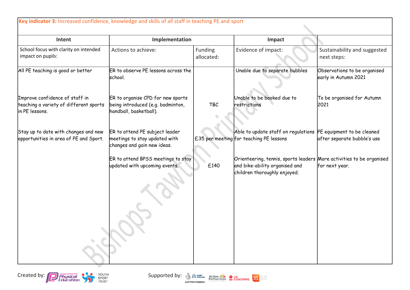| Intent                                                                                     | Implementation                                                                                   |                       | Impact                                                                                                                                 |                                                      |  |
|--------------------------------------------------------------------------------------------|--------------------------------------------------------------------------------------------------|-----------------------|----------------------------------------------------------------------------------------------------------------------------------------|------------------------------------------------------|--|
| School focus with clarity on intended<br>impact on pupils:                                 | Actions to achieve:                                                                              | Funding<br>allocated: | Evidence of impact:                                                                                                                    | Sustainability and suggested<br>next steps:          |  |
| All PE teaching is good or better                                                          | ER to observe PE lessons across the<br>school.                                                   |                       | Unable due to separate bubbles                                                                                                         | Observations to be organised<br>early in Autumn 2021 |  |
| Improve confidence of staff in<br>teaching a variety of different sports<br>in PE lessons. | ER to organise CPD for new sports<br>being introduced (e.g. badminton,<br>handball, basketball). | <b>TBC</b>            | Unable to be booked due to<br>restrictions                                                                                             | To be organised for Autumn<br>2021                   |  |
| Stay up to date with changes and new<br>opportunities in area of PE and Sport.             | ER to attend PE subject leader<br>meetings to stay updated with<br>changes and gain new ideas.   |                       | Able to update staff on regulations PE equipment to be cleaned<br>£35 per meeting for teaching PE lessons                              | after separate bubble's use                          |  |
|                                                                                            | ER to attend BPSS meetings to stay<br>updated with upcoming events.                              | £140                  | Orienteering, tennis, sports leaders More activities to be organised<br>and bike-ability organised and<br>children thoroughly enjoyed. | for next year.                                       |  |



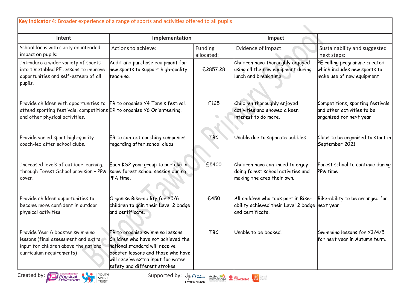| Intent                                                                                                                                                                                  | Implementation                                                                                                                                                                                                       |                       | Impact                                                                                                      |                                                                                            |
|-----------------------------------------------------------------------------------------------------------------------------------------------------------------------------------------|----------------------------------------------------------------------------------------------------------------------------------------------------------------------------------------------------------------------|-----------------------|-------------------------------------------------------------------------------------------------------------|--------------------------------------------------------------------------------------------|
| School focus with clarity on intended<br>impact on pupils:                                                                                                                              | Actions to achieve:                                                                                                                                                                                                  | Funding<br>allocated: | Evidence of impact:                                                                                         | Sustainability and suggested<br>next steps:                                                |
| Introduce a wider variety of sports<br>into timetabled PE lessons to improve<br>opportunities and self-esteem of all<br>pupils.                                                         | Audit and purchase equipment for<br>new sports to support high-quality<br>teaching.                                                                                                                                  | £2857.28              | Children have thoroughly enjoyed<br>using all the new equipment during<br>lunch and break time.             | PE rolling programme created<br>which includes new sports to<br>make use of new equipment  |
| Provide children with opportunities to  ER to organise Y4 Tennis festival.<br>attend sporting festivals, competitions ER to organise Y6 Orienteering.<br>and other physical activities. |                                                                                                                                                                                                                      | £125                  | Children thoroughly enjoyed<br>activities and showed a keen<br>interest to do more.                         | Competitions, sporting festivals<br>and other activities to be<br>organised for next year. |
| Provide varied sport high-quality<br>coach-led after school clubs.                                                                                                                      | ER to contact coaching companies<br>regarding after school clubs                                                                                                                                                     | <b>TBC</b>            | Unable due to separate bubbles                                                                              | Clubs to be organised to start in<br>September 2021                                        |
| Increased levels of outdoor learning,<br>through Forest School provision - PPA<br>cover.                                                                                                | Each KS2 year group to partake in<br>some forest school session during<br>PPA time.                                                                                                                                  | £5400                 | Children have continued to enjoy<br>doing forest school activities and<br>making the area their own.        | Forest school to continue during<br>PPA time.                                              |
| Provide children opportunities to<br>become more confident in outdoor<br>physical activities.                                                                                           | Organise Bike-ability for Y5/6<br>children to gain their Level 2 badge<br>and certificate.                                                                                                                           | £450                  | All children who took part in Bike-<br>ability achieved their Level 2 badge next year.<br>land certificate. | Bike-ability to be arranged for                                                            |
| Provide Year 6 booster swimming<br>lessons (final assessment and extra<br>input for children above the national<br>curriculum requirements)                                             | ER to organise swimming lessons.<br>Children who have not achieved the<br>national standard will receive<br>booster lessons and those who have<br>will receive extra input for water<br>safety and different strokes | <b>TBC</b>            | Unable to be booked.                                                                                        | Swimming lessons for Y3/4/5<br>for next year in Autumn term.                               |